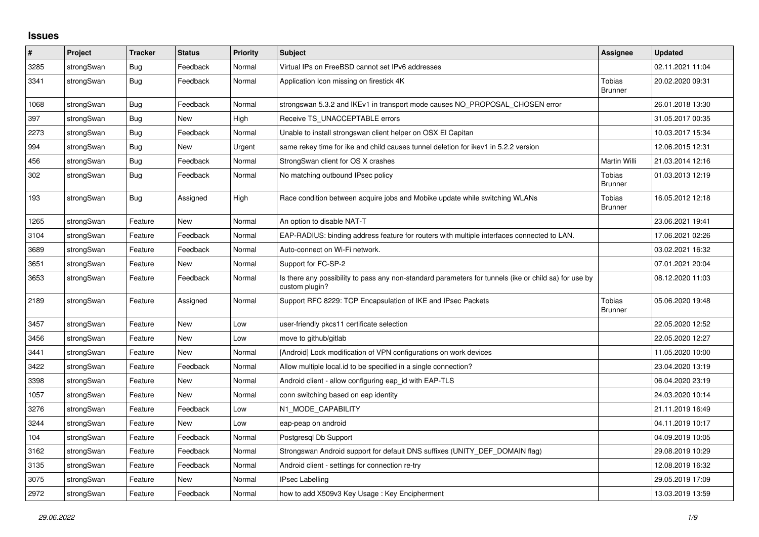## **Issues**

| #    | Project    | <b>Tracker</b> | <b>Status</b> | <b>Priority</b> | <b>Subject</b>                                                                                                          | Assignee                        | <b>Updated</b>   |
|------|------------|----------------|---------------|-----------------|-------------------------------------------------------------------------------------------------------------------------|---------------------------------|------------------|
| 3285 | strongSwan | <b>Bug</b>     | Feedback      | Normal          | Virtual IPs on FreeBSD cannot set IPv6 addresses                                                                        |                                 | 02.11.2021 11:04 |
| 3341 | strongSwan | <b>Bug</b>     | Feedback      | Normal          | Application Icon missing on firestick 4K                                                                                | <b>Tobias</b><br><b>Brunner</b> | 20.02.2020 09:31 |
| 1068 | strongSwan | Bug            | Feedback      | Normal          | strongswan 5.3.2 and IKEv1 in transport mode causes NO_PROPOSAL_CHOSEN error                                            |                                 | 26.01.2018 13:30 |
| 397  | strongSwan | Bug            | <b>New</b>    | High            | Receive TS UNACCEPTABLE errors                                                                                          |                                 | 31.05.2017 00:35 |
| 2273 | strongSwan | <b>Bug</b>     | Feedback      | Normal          | Unable to install strongswan client helper on OSX El Capitan                                                            |                                 | 10.03.2017 15:34 |
| 994  | strongSwan | <b>Bug</b>     | <b>New</b>    | Urgent          | same rekey time for ike and child causes tunnel deletion for ikev1 in 5.2.2 version                                     |                                 | 12.06.2015 12:31 |
| 456  | strongSwan | <b>Bug</b>     | Feedback      | Normal          | StrongSwan client for OS X crashes                                                                                      | Martin Willi                    | 21.03.2014 12:16 |
| 302  | strongSwan | <b>Bug</b>     | Feedback      | Normal          | No matching outbound IPsec policy                                                                                       | Tobias<br><b>Brunner</b>        | 01.03.2013 12:19 |
| 193  | strongSwan | <b>Bug</b>     | Assigned      | High            | Race condition between acquire jobs and Mobike update while switching WLANs                                             | <b>Tobias</b><br><b>Brunner</b> | 16.05.2012 12:18 |
| 1265 | strongSwan | Feature        | <b>New</b>    | Normal          | An option to disable NAT-T                                                                                              |                                 | 23.06.2021 19:41 |
| 3104 | strongSwan | Feature        | Feedback      | Normal          | EAP-RADIUS: binding address feature for routers with multiple interfaces connected to LAN.                              |                                 | 17.06.2021 02:26 |
| 3689 | strongSwan | Feature        | Feedback      | Normal          | Auto-connect on Wi-Fi network.                                                                                          |                                 | 03.02.2021 16:32 |
| 3651 | strongSwan | Feature        | <b>New</b>    | Normal          | Support for FC-SP-2                                                                                                     |                                 | 07.01.2021 20:04 |
| 3653 | strongSwan | Feature        | Feedback      | Normal          | Is there any possibility to pass any non-standard parameters for tunnels (ike or child sa) for use by<br>custom plugin? |                                 | 08.12.2020 11:03 |
| 2189 | strongSwan | Feature        | Assigned      | Normal          | Support RFC 8229: TCP Encapsulation of IKE and IPsec Packets                                                            | <b>Tobias</b><br><b>Brunner</b> | 05.06.2020 19:48 |
| 3457 | strongSwan | Feature        | <b>New</b>    | Low             | user-friendly pkcs11 certificate selection                                                                              |                                 | 22.05.2020 12:52 |
| 3456 | strongSwan | Feature        | <b>New</b>    | Low             | move to github/gitlab                                                                                                   |                                 | 22.05.2020 12:27 |
| 3441 | strongSwan | Feature        | <b>New</b>    | Normal          | [Android] Lock modification of VPN configurations on work devices                                                       |                                 | 11.05.2020 10:00 |
| 3422 | strongSwan | Feature        | Feedback      | Normal          | Allow multiple local.id to be specified in a single connection?                                                         |                                 | 23.04.2020 13:19 |
| 3398 | strongSwan | Feature        | New           | Normal          | Android client - allow configuring eap id with EAP-TLS                                                                  |                                 | 06.04.2020 23:19 |
| 1057 | strongSwan | Feature        | <b>New</b>    | Normal          | conn switching based on eap identity                                                                                    |                                 | 24.03.2020 10:14 |
| 3276 | strongSwan | Feature        | Feedback      | Low             | N1 MODE CAPABILITY                                                                                                      |                                 | 21.11.2019 16:49 |
| 3244 | strongSwan | Feature        | New           | Low             | eap-peap on android                                                                                                     |                                 | 04.11.2019 10:17 |
| 104  | strongSwan | Feature        | Feedback      | Normal          | Postgresgl Db Support                                                                                                   |                                 | 04.09.2019 10:05 |
| 3162 | strongSwan | Feature        | Feedback      | Normal          | Strongswan Android support for default DNS suffixes (UNITY DEF DOMAIN flag)                                             |                                 | 29.08.2019 10:29 |
| 3135 | strongSwan | Feature        | Feedback      | Normal          | Android client - settings for connection re-try                                                                         |                                 | 12.08.2019 16:32 |
| 3075 | strongSwan | Feature        | New           | Normal          | <b>IPsec Labelling</b>                                                                                                  |                                 | 29.05.2019 17:09 |
| 2972 | strongSwan | Feature        | Feedback      | Normal          | how to add X509v3 Key Usage: Key Encipherment                                                                           |                                 | 13.03.2019 13:59 |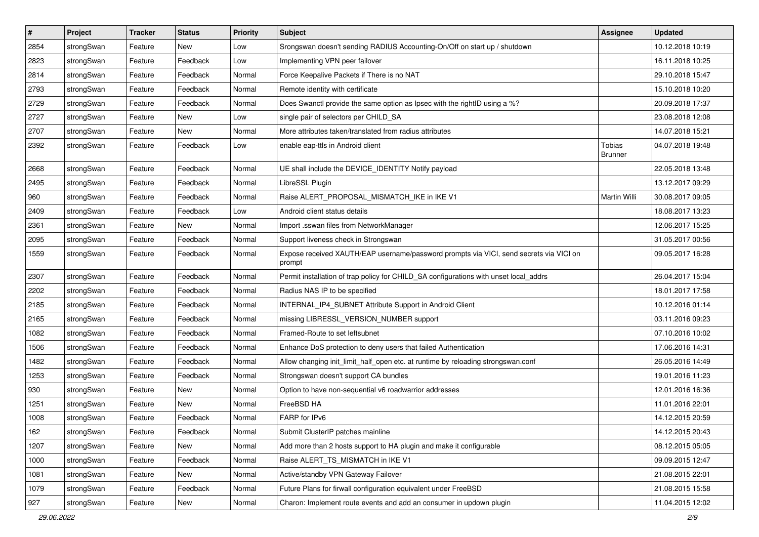| $\vert$ # | Project    | <b>Tracker</b> | <b>Status</b> | <b>Priority</b> | <b>Subject</b>                                                                                   | <b>Assignee</b>          | <b>Updated</b>   |
|-----------|------------|----------------|---------------|-----------------|--------------------------------------------------------------------------------------------------|--------------------------|------------------|
| 2854      | strongSwan | Feature        | New           | Low             | Srongswan doesn't sending RADIUS Accounting-On/Off on start up / shutdown                        |                          | 10.12.2018 10:19 |
| 2823      | strongSwan | Feature        | Feedback      | Low             | Implementing VPN peer failover                                                                   |                          | 16.11.2018 10:25 |
| 2814      | strongSwan | Feature        | Feedback      | Normal          | Force Keepalive Packets if There is no NAT                                                       |                          | 29.10.2018 15:47 |
| 2793      | strongSwan | Feature        | Feedback      | Normal          | Remote identity with certificate                                                                 |                          | 15.10.2018 10:20 |
| 2729      | strongSwan | Feature        | Feedback      | Normal          | Does Swanctl provide the same option as Ipsec with the rightID using a %?                        |                          | 20.09.2018 17:37 |
| 2727      | strongSwan | Feature        | New           | Low             | single pair of selectors per CHILD_SA                                                            |                          | 23.08.2018 12:08 |
| 2707      | strongSwan | Feature        | New           | Normal          | More attributes taken/translated from radius attributes                                          |                          | 14.07.2018 15:21 |
| 2392      | strongSwan | Feature        | Feedback      | Low             | enable eap-ttls in Android client                                                                | Tobias<br><b>Brunner</b> | 04.07.2018 19:48 |
| 2668      | strongSwan | Feature        | Feedback      | Normal          | UE shall include the DEVICE_IDENTITY Notify payload                                              |                          | 22.05.2018 13:48 |
| 2495      | strongSwan | Feature        | Feedback      | Normal          | LibreSSL Plugin                                                                                  |                          | 13.12.2017 09:29 |
| 960       | strongSwan | Feature        | Feedback      | Normal          | Raise ALERT_PROPOSAL_MISMATCH_IKE in IKE V1                                                      | Martin Willi             | 30.08.2017 09:05 |
| 2409      | strongSwan | Feature        | Feedback      | Low             | Android client status details                                                                    |                          | 18.08.2017 13:23 |
| 2361      | strongSwan | Feature        | New           | Normal          | Import .sswan files from NetworkManager                                                          |                          | 12.06.2017 15:25 |
| 2095      | strongSwan | Feature        | Feedback      | Normal          | Support liveness check in Strongswan                                                             |                          | 31.05.2017 00:56 |
| 1559      | strongSwan | Feature        | Feedback      | Normal          | Expose received XAUTH/EAP username/password prompts via VICI, send secrets via VICI on<br>prompt |                          | 09.05.2017 16:28 |
| 2307      | strongSwan | Feature        | Feedback      | Normal          | Permit installation of trap policy for CHILD_SA configurations with unset local_addrs            |                          | 26.04.2017 15:04 |
| 2202      | strongSwan | Feature        | Feedback      | Normal          | Radius NAS IP to be specified                                                                    |                          | 18.01.2017 17:58 |
| 2185      | strongSwan | Feature        | Feedback      | Normal          | INTERNAL_IP4_SUBNET Attribute Support in Android Client                                          |                          | 10.12.2016 01:14 |
| 2165      | strongSwan | Feature        | Feedback      | Normal          | missing LIBRESSL_VERSION_NUMBER support                                                          |                          | 03.11.2016 09:23 |
| 1082      | strongSwan | Feature        | Feedback      | Normal          | Framed-Route to set leftsubnet                                                                   |                          | 07.10.2016 10:02 |
| 1506      | strongSwan | Feature        | Feedback      | Normal          | Enhance DoS protection to deny users that failed Authentication                                  |                          | 17.06.2016 14:31 |
| 1482      | strongSwan | Feature        | Feedback      | Normal          | Allow changing init_limit_half_open etc. at runtime by reloading strongswan.conf                 |                          | 26.05.2016 14:49 |
| 1253      | strongSwan | Feature        | Feedback      | Normal          | Strongswan doesn't support CA bundles                                                            |                          | 19.01.2016 11:23 |
| 930       | strongSwan | Feature        | New           | Normal          | Option to have non-sequential v6 roadwarrior addresses                                           |                          | 12.01.2016 16:36 |
| 1251      | strongSwan | Feature        | New           | Normal          | FreeBSD HA                                                                                       |                          | 11.01.2016 22:01 |
| 1008      | strongSwan | Feature        | Feedback      | Normal          | FARP for IPv6                                                                                    |                          | 14.12.2015 20:59 |
| 162       | strongSwan | Feature        | Feedback      | Normal          | Submit ClusterIP patches mainline                                                                |                          | 14.12.2015 20:43 |
| 1207      | strongSwan | Feature        | New           | Normal          | Add more than 2 hosts support to HA plugin and make it configurable                              |                          | 08.12.2015 05:05 |
| 1000      | strongSwan | Feature        | Feedback      | Normal          | Raise ALERT TS MISMATCH in IKE V1                                                                |                          | 09.09.2015 12:47 |
| 1081      | strongSwan | Feature        | New           | Normal          | Active/standby VPN Gateway Failover                                                              |                          | 21.08.2015 22:01 |
| 1079      | strongSwan | Feature        | Feedback      | Normal          | Future Plans for firwall configuration equivalent under FreeBSD                                  |                          | 21.08.2015 15:58 |
| 927       | strongSwan | Feature        | New           | Normal          | Charon: Implement route events and add an consumer in updown plugin                              |                          | 11.04.2015 12:02 |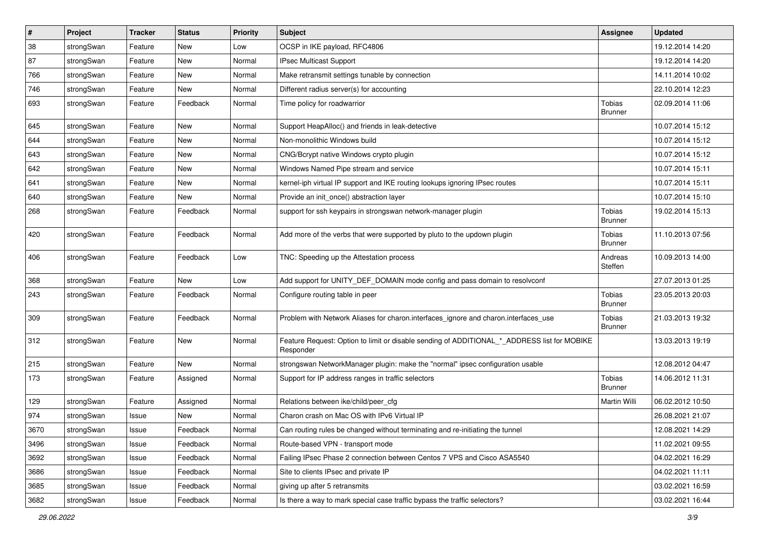| #    | Project    | <b>Tracker</b> | <b>Status</b> | Priority | Subject                                                                                                  | <b>Assignee</b>                 | <b>Updated</b>   |
|------|------------|----------------|---------------|----------|----------------------------------------------------------------------------------------------------------|---------------------------------|------------------|
| 38   | strongSwan | Feature        | New           | Low      | OCSP in IKE payload, RFC4806                                                                             |                                 | 19.12.2014 14:20 |
| 87   | strongSwan | Feature        | New           | Normal   | IPsec Multicast Support                                                                                  |                                 | 19.12.2014 14:20 |
| 766  | strongSwan | Feature        | New           | Normal   | Make retransmit settings tunable by connection                                                           |                                 | 14.11.2014 10:02 |
| 746  | strongSwan | Feature        | New           | Normal   | Different radius server(s) for accounting                                                                |                                 | 22.10.2014 12:23 |
| 693  | strongSwan | Feature        | Feedback      | Normal   | Time policy for roadwarrior                                                                              | Tobias<br><b>Brunner</b>        | 02.09.2014 11:06 |
| 645  | strongSwan | Feature        | New           | Normal   | Support HeapAlloc() and friends in leak-detective                                                        |                                 | 10.07.2014 15:12 |
| 644  | strongSwan | Feature        | New           | Normal   | Non-monolithic Windows build                                                                             |                                 | 10.07.2014 15:12 |
| 643  | strongSwan | Feature        | New           | Normal   | CNG/Bcrypt native Windows crypto plugin                                                                  |                                 | 10.07.2014 15:12 |
| 642  | strongSwan | Feature        | New           | Normal   | Windows Named Pipe stream and service                                                                    |                                 | 10.07.2014 15:11 |
| 641  | strongSwan | Feature        | New           | Normal   | kernel-iph virtual IP support and IKE routing lookups ignoring IPsec routes                              |                                 | 10.07.2014 15:11 |
| 640  | strongSwan | Feature        | New           | Normal   | Provide an init_once() abstraction layer                                                                 |                                 | 10.07.2014 15:10 |
| 268  | strongSwan | Feature        | Feedback      | Normal   | support for ssh keypairs in strongswan network-manager plugin                                            | Tobias<br><b>Brunner</b>        | 19.02.2014 15:13 |
| 420  | strongSwan | Feature        | Feedback      | Normal   | Add more of the verbs that were supported by pluto to the updown plugin                                  | Tobias<br><b>Brunner</b>        | 11.10.2013 07:56 |
| 406  | strongSwan | Feature        | Feedback      | Low      | TNC: Speeding up the Attestation process                                                                 | Andreas<br>Steffen              | 10.09.2013 14:00 |
| 368  | strongSwan | Feature        | New           | Low      | Add support for UNITY_DEF_DOMAIN mode config and pass domain to resolvconf                               |                                 | 27.07.2013 01:25 |
| 243  | strongSwan | Feature        | Feedback      | Normal   | Configure routing table in peer                                                                          | Tobias<br><b>Brunner</b>        | 23.05.2013 20:03 |
| 309  | strongSwan | Feature        | Feedback      | Normal   | Problem with Network Aliases for charon.interfaces_ignore and charon.interfaces_use                      | Tobias<br><b>Brunner</b>        | 21.03.2013 19:32 |
| 312  | strongSwan | Feature        | <b>New</b>    | Normal   | Feature Request: Option to limit or disable sending of ADDITIONAL_*_ADDRESS list for MOBIKE<br>Responder |                                 | 13.03.2013 19:19 |
| 215  | strongSwan | Feature        | <b>New</b>    | Normal   | strongswan NetworkManager plugin: make the "normal" ipsec configuration usable                           |                                 | 12.08.2012 04:47 |
| 173  | strongSwan | Feature        | Assigned      | Normal   | Support for IP address ranges in traffic selectors                                                       | <b>Tobias</b><br><b>Brunner</b> | 14.06.2012 11:31 |
| 129  | strongSwan | Feature        | Assigned      | Normal   | Relations between ike/child/peer_cfg                                                                     | Martin Willi                    | 06.02.2012 10:50 |
| 974  | strongSwan | Issue          | New           | Normal   | Charon crash on Mac OS with IPv6 Virtual IP                                                              |                                 | 26.08.2021 21:07 |
| 3670 | strongSwan | Issue          | Feedback      | Normal   | Can routing rules be changed without terminating and re-initiating the tunnel                            |                                 | 12.08.2021 14:29 |
| 3496 | strongSwan | Issue          | Feedback      | Normal   | Route-based VPN - transport mode                                                                         |                                 | 11.02.2021 09:55 |
| 3692 | strongSwan | Issue          | Feedback      | Normal   | Failing IPsec Phase 2 connection between Centos 7 VPS and Cisco ASA5540                                  |                                 | 04.02.2021 16:29 |
| 3686 | strongSwan | Issue          | Feedback      | Normal   | Site to clients IPsec and private IP                                                                     |                                 | 04.02.2021 11:11 |
| 3685 | strongSwan | Issue          | Feedback      | Normal   | giving up after 5 retransmits                                                                            |                                 | 03.02.2021 16:59 |
| 3682 | strongSwan | Issue          | Feedback      | Normal   | Is there a way to mark special case traffic bypass the traffic selectors?                                |                                 | 03.02.2021 16:44 |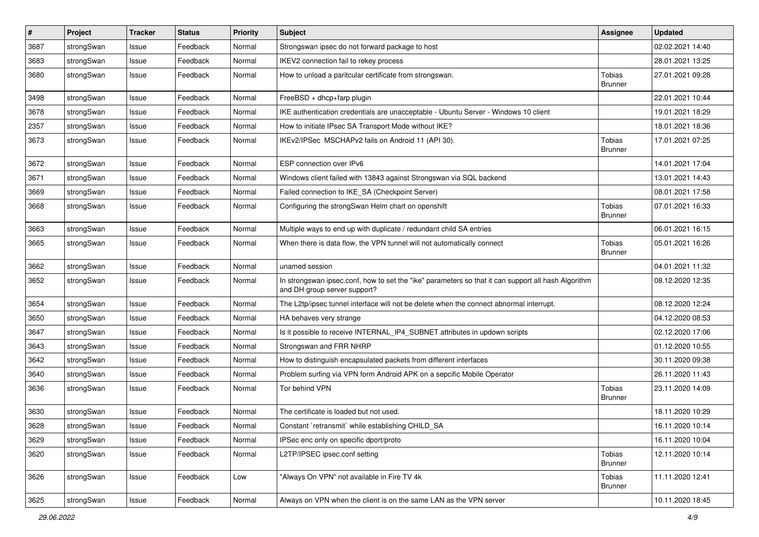| $\sharp$ | Project    | <b>Tracker</b> | <b>Status</b> | <b>Priority</b> | <b>Subject</b>                                                                                                                      | <b>Assignee</b>                 | <b>Updated</b>   |
|----------|------------|----------------|---------------|-----------------|-------------------------------------------------------------------------------------------------------------------------------------|---------------------------------|------------------|
| 3687     | strongSwan | Issue          | Feedback      | Normal          | Strongswan ipsec do not forward package to host                                                                                     |                                 | 02.02.2021 14:40 |
| 3683     | strongSwan | Issue          | Feedback      | Normal          | IKEV2 connection fail to rekey process                                                                                              |                                 | 28.01.2021 13:25 |
| 3680     | strongSwan | Issue          | Feedback      | Normal          | How to unload a paritcular certificate from strongswan.                                                                             | Tobias<br>Brunner               | 27.01.2021 09:28 |
| 3498     | strongSwan | Issue          | Feedback      | Normal          | FreeBSD + dhcp+farp plugin                                                                                                          |                                 | 22.01.2021 10:44 |
| 3678     | strongSwan | Issue          | Feedback      | Normal          | IKE authentication credentials are unacceptable - Ubuntu Server - Windows 10 client                                                 |                                 | 19.01.2021 18:29 |
| 2357     | strongSwan | Issue          | Feedback      | Normal          | How to initiate IPsec SA Transport Mode without IKE?                                                                                |                                 | 18.01.2021 18:36 |
| 3673     | strongSwan | Issue          | Feedback      | Normal          | IKEv2/IPSec MSCHAPv2 fails on Android 11 (API 30).                                                                                  | Tobias<br><b>Brunner</b>        | 17.01.2021 07:25 |
| 3672     | strongSwan | Issue          | Feedback      | Normal          | ESP connection over IPv6                                                                                                            |                                 | 14.01.2021 17:04 |
| 3671     | strongSwan | Issue          | Feedback      | Normal          | Windows client failed with 13843 against Strongswan via SQL backend                                                                 |                                 | 13.01.2021 14:43 |
| 3669     | strongSwan | Issue          | Feedback      | Normal          | Failed connection to IKE_SA (Checkpoint Server)                                                                                     |                                 | 08.01.2021 17:58 |
| 3668     | strongSwan | Issue          | Feedback      | Normal          | Configuring the strongSwan Helm chart on openshift                                                                                  | Tobias<br><b>Brunner</b>        | 07.01.2021 16:33 |
| 3663     | strongSwan | Issue          | Feedback      | Normal          | Multiple ways to end up with duplicate / redundant child SA entries                                                                 |                                 | 06.01.2021 16:15 |
| 3665     | strongSwan | Issue          | Feedback      | Normal          | When there is data flow, the VPN tunnel will not automatically connect                                                              | Tobias<br><b>Brunner</b>        | 05.01.2021 16:26 |
| 3662     | strongSwan | Issue          | Feedback      | Normal          | unamed session                                                                                                                      |                                 | 04.01.2021 11:32 |
| 3652     | strongSwan | Issue          | Feedback      | Normal          | In strongswan ipsec.conf, how to set the "ike" parameters so that it can support all hash Algorithm<br>and DH group server support? |                                 | 08.12.2020 12:35 |
| 3654     | strongSwan | Issue          | Feedback      | Normal          | The L2tp/ipsec tunnel interface will not be delete when the connect abnormal interrupt.                                             |                                 | 08.12.2020 12:24 |
| 3650     | strongSwan | Issue          | Feedback      | Normal          | HA behaves very strange                                                                                                             |                                 | 04.12.2020 08:53 |
| 3647     | strongSwan | Issue          | Feedback      | Normal          | Is it possible to receive INTERNAL_IP4_SUBNET attributes in updown scripts                                                          |                                 | 02.12.2020 17:06 |
| 3643     | strongSwan | Issue          | Feedback      | Normal          | Strongswan and FRR NHRP                                                                                                             |                                 | 01.12.2020 10:55 |
| 3642     | strongSwan | Issue          | Feedback      | Normal          | How to distinguish encapsulated packets from different interfaces                                                                   |                                 | 30.11.2020 09:38 |
| 3640     | strongSwan | Issue          | Feedback      | Normal          | Problem surfing via VPN form Android APK on a sepcific Mobile Operator                                                              |                                 | 26.11.2020 11:43 |
| 3636     | strongSwan | Issue          | Feedback      | Normal          | Tor behind VPN                                                                                                                      | Tobias<br><b>Brunner</b>        | 23.11.2020 14:09 |
| 3630     | strongSwan | Issue          | Feedback      | Normal          | The certificate is loaded but not used.                                                                                             |                                 | 18.11.2020 10:29 |
| 3628     | strongSwan | Issue          | Feedback      | Normal          | Constant `retransmit` while establishing CHILD_SA                                                                                   |                                 | 16.11.2020 10:14 |
| 3629     | strongSwan | Issue          | Feedback      | Normal          | IPSec enc only on specific dport/proto                                                                                              |                                 | 16.11.2020 10:04 |
| 3620     | strongSwan | Issue          | Feedback      | Normal          | L2TP/IPSEC ipsec.conf setting                                                                                                       | Tobias<br><b>Brunner</b>        | 12.11.2020 10:14 |
| 3626     | strongSwan | Issue          | Feedback      | Low             | "Always On VPN" not available in Fire TV 4k                                                                                         | <b>Tobias</b><br><b>Brunner</b> | 11.11.2020 12:41 |
| 3625     | strongSwan | Issue          | Feedback      | Normal          | Always on VPN when the client is on the same LAN as the VPN server                                                                  |                                 | 10.11.2020 18:45 |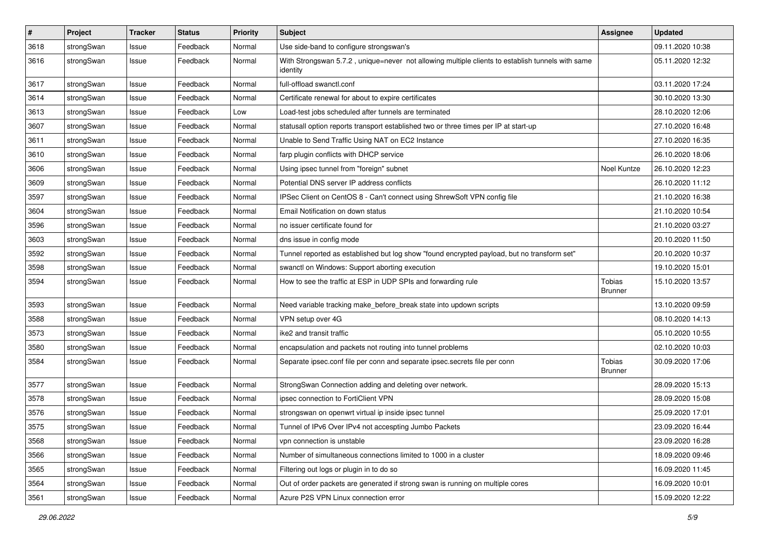| $\pmb{\#}$ | Project    | <b>Tracker</b> | <b>Status</b> | <b>Priority</b> | <b>Subject</b>                                                                                               | <b>Assignee</b>                 | <b>Updated</b>   |
|------------|------------|----------------|---------------|-----------------|--------------------------------------------------------------------------------------------------------------|---------------------------------|------------------|
| 3618       | strongSwan | Issue          | Feedback      | Normal          | Use side-band to configure strongswan's                                                                      |                                 | 09.11.2020 10:38 |
| 3616       | strongSwan | Issue          | Feedback      | Normal          | With Strongswan 5.7.2, unique=never not allowing multiple clients to establish tunnels with same<br>identity |                                 | 05.11.2020 12:32 |
| 3617       | strongSwan | Issue          | Feedback      | Normal          | full-offload swanctl.conf                                                                                    |                                 | 03.11.2020 17:24 |
| 3614       | strongSwan | Issue          | Feedback      | Normal          | Certificate renewal for about to expire certificates                                                         |                                 | 30.10.2020 13:30 |
| 3613       | strongSwan | Issue          | Feedback      | Low             | Load-test jobs scheduled after tunnels are terminated                                                        |                                 | 28.10.2020 12:06 |
| 3607       | strongSwan | Issue          | Feedback      | Normal          | statusall option reports transport established two or three times per IP at start-up                         |                                 | 27.10.2020 16:48 |
| 3611       | strongSwan | Issue          | Feedback      | Normal          | Unable to Send Traffic Using NAT on EC2 Instance                                                             |                                 | 27.10.2020 16:35 |
| 3610       | strongSwan | Issue          | Feedback      | Normal          | farp plugin conflicts with DHCP service                                                                      |                                 | 26.10.2020 18:06 |
| 3606       | strongSwan | Issue          | Feedback      | Normal          | Using ipsec tunnel from "foreign" subnet                                                                     | Noel Kuntze                     | 26.10.2020 12:23 |
| 3609       | strongSwan | Issue          | Feedback      | Normal          | Potential DNS server IP address conflicts                                                                    |                                 | 26.10.2020 11:12 |
| 3597       | strongSwan | Issue          | Feedback      | Normal          | IPSec Client on CentOS 8 - Can't connect using ShrewSoft VPN config file                                     |                                 | 21.10.2020 16:38 |
| 3604       | strongSwan | Issue          | Feedback      | Normal          | Email Notification on down status                                                                            |                                 | 21.10.2020 10:54 |
| 3596       | strongSwan | Issue          | Feedback      | Normal          | no issuer certificate found for                                                                              |                                 | 21.10.2020 03:27 |
| 3603       | strongSwan | Issue          | Feedback      | Normal          | dns issue in config mode                                                                                     |                                 | 20.10.2020 11:50 |
| 3592       | strongSwan | Issue          | Feedback      | Normal          | Tunnel reported as established but log show "found encrypted payload, but no transform set"                  |                                 | 20.10.2020 10:37 |
| 3598       | strongSwan | Issue          | Feedback      | Normal          | swanctl on Windows: Support aborting execution                                                               |                                 | 19.10.2020 15:01 |
| 3594       | strongSwan | Issue          | Feedback      | Normal          | How to see the traffic at ESP in UDP SPIs and forwarding rule                                                | <b>Tobias</b><br><b>Brunner</b> | 15.10.2020 13:57 |
| 3593       | strongSwan | Issue          | Feedback      | Normal          | Need variable tracking make_before_break state into updown scripts                                           |                                 | 13.10.2020 09:59 |
| 3588       | strongSwan | Issue          | Feedback      | Normal          | VPN setup over 4G                                                                                            |                                 | 08.10.2020 14:13 |
| 3573       | strongSwan | Issue          | Feedback      | Normal          | ike2 and transit traffic                                                                                     |                                 | 05.10.2020 10:55 |
| 3580       | strongSwan | Issue          | Feedback      | Normal          | encapsulation and packets not routing into tunnel problems                                                   |                                 | 02.10.2020 10:03 |
| 3584       | strongSwan | Issue          | Feedback      | Normal          | Separate ipsec.conf file per conn and separate ipsec.secrets file per conn                                   | Tobias<br><b>Brunner</b>        | 30.09.2020 17:06 |
| 3577       | strongSwan | Issue          | Feedback      | Normal          | StrongSwan Connection adding and deleting over network.                                                      |                                 | 28.09.2020 15:13 |
| 3578       | strongSwan | Issue          | Feedback      | Normal          | ipsec connection to FortiClient VPN                                                                          |                                 | 28.09.2020 15:08 |
| 3576       | strongSwan | Issue          | Feedback      | Normal          | strongswan on openwrt virtual ip inside ipsec tunnel                                                         |                                 | 25.09.2020 17:01 |
| 3575       | strongSwan | Issue          | Feedback      | Normal          | Tunnel of IPv6 Over IPv4 not accespting Jumbo Packets                                                        |                                 | 23.09.2020 16:44 |
| 3568       | strongSwan | Issue          | Feedback      | Normal          | vpn connection is unstable                                                                                   |                                 | 23.09.2020 16:28 |
| 3566       | strongSwan | Issue          | Feedback      | Normal          | Number of simultaneous connections limited to 1000 in a cluster                                              |                                 | 18.09.2020 09:46 |
| 3565       | strongSwan | Issue          | Feedback      | Normal          | Filtering out logs or plugin in to do so                                                                     |                                 | 16.09.2020 11:45 |
| 3564       | strongSwan | Issue          | Feedback      | Normal          | Out of order packets are generated if strong swan is running on multiple cores                               |                                 | 16.09.2020 10:01 |
| 3561       | strongSwan | Issue          | Feedback      | Normal          | Azure P2S VPN Linux connection error                                                                         |                                 | 15.09.2020 12:22 |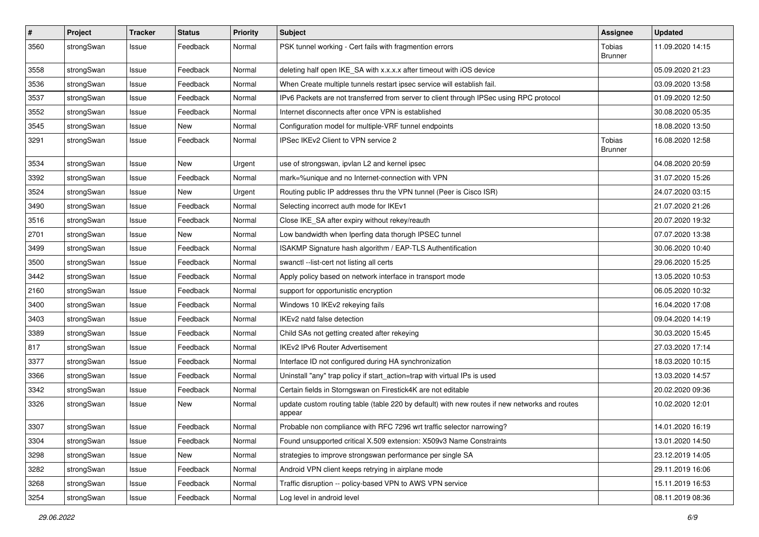| $\sharp$ | Project    | <b>Tracker</b> | <b>Status</b> | <b>Priority</b> | <b>Subject</b>                                                                                          | <b>Assignee</b>          | <b>Updated</b>   |
|----------|------------|----------------|---------------|-----------------|---------------------------------------------------------------------------------------------------------|--------------------------|------------------|
| 3560     | strongSwan | Issue          | Feedback      | Normal          | PSK tunnel working - Cert fails with fragmention errors                                                 | Tobias<br><b>Brunner</b> | 11.09.2020 14:15 |
| 3558     | strongSwan | Issue          | Feedback      | Normal          | deleting half open IKE_SA with x.x.x.x after timeout with iOS device                                    |                          | 05.09.2020 21:23 |
| 3536     | strongSwan | Issue          | Feedback      | Normal          | When Create multiple tunnels restart ipsec service will establish fail.                                 |                          | 03.09.2020 13:58 |
| 3537     | strongSwan | Issue          | Feedback      | Normal          | IPv6 Packets are not transferred from server to client through IPSec using RPC protocol                 |                          | 01.09.2020 12:50 |
| 3552     | strongSwan | Issue          | Feedback      | Normal          | Internet disconnects after once VPN is established                                                      |                          | 30.08.2020 05:35 |
| 3545     | strongSwan | Issue          | <b>New</b>    | Normal          | Configuration model for multiple-VRF tunnel endpoints                                                   |                          | 18.08.2020 13:50 |
| 3291     | strongSwan | Issue          | Feedback      | Normal          | IPSec IKEv2 Client to VPN service 2                                                                     | Tobias<br><b>Brunner</b> | 16.08.2020 12:58 |
| 3534     | strongSwan | Issue          | New           | Urgent          | use of strongswan, ipvlan L2 and kernel ipsec                                                           |                          | 04.08.2020 20:59 |
| 3392     | strongSwan | Issue          | Feedback      | Normal          | mark=%unique and no Internet-connection with VPN                                                        |                          | 31.07.2020 15:26 |
| 3524     | strongSwan | Issue          | <b>New</b>    | Urgent          | Routing public IP addresses thru the VPN tunnel (Peer is Cisco ISR)                                     |                          | 24.07.2020 03:15 |
| 3490     | strongSwan | Issue          | Feedback      | Normal          | Selecting incorrect auth mode for IKEv1                                                                 |                          | 21.07.2020 21:26 |
| 3516     | strongSwan | Issue          | Feedback      | Normal          | Close IKE_SA after expiry without rekey/reauth                                                          |                          | 20.07.2020 19:32 |
| 2701     | strongSwan | Issue          | New           | Normal          | Low bandwidth when Iperfing data thorugh IPSEC tunnel                                                   |                          | 07.07.2020 13:38 |
| 3499     | strongSwan | Issue          | Feedback      | Normal          | ISAKMP Signature hash algorithm / EAP-TLS Authentification                                              |                          | 30.06.2020 10:40 |
| 3500     | strongSwan | Issue          | Feedback      | Normal          | swanctl --list-cert not listing all certs                                                               |                          | 29.06.2020 15:25 |
| 3442     | strongSwan | Issue          | Feedback      | Normal          | Apply policy based on network interface in transport mode                                               |                          | 13.05.2020 10:53 |
| 2160     | strongSwan | Issue          | Feedback      | Normal          | support for opportunistic encryption                                                                    |                          | 06.05.2020 10:32 |
| 3400     | strongSwan | Issue          | Feedback      | Normal          | Windows 10 IKEv2 rekeying fails                                                                         |                          | 16.04.2020 17:08 |
| 3403     | strongSwan | Issue          | Feedback      | Normal          | IKEv2 natd false detection                                                                              |                          | 09.04.2020 14:19 |
| 3389     | strongSwan | Issue          | Feedback      | Normal          | Child SAs not getting created after rekeying                                                            |                          | 30.03.2020 15:45 |
| 817      | strongSwan | Issue          | Feedback      | Normal          | <b>IKEv2 IPv6 Router Advertisement</b>                                                                  |                          | 27.03.2020 17:14 |
| 3377     | strongSwan | Issue          | Feedback      | Normal          | Interface ID not configured during HA synchronization                                                   |                          | 18.03.2020 10:15 |
| 3366     | strongSwan | Issue          | Feedback      | Normal          | Uninstall "any" trap policy if start_action=trap with virtual IPs is used                               |                          | 13.03.2020 14:57 |
| 3342     | strongSwan | Issue          | Feedback      | Normal          | Certain fields in Storngswan on Firestick4K are not editable                                            |                          | 20.02.2020 09:36 |
| 3326     | strongSwan | Issue          | <b>New</b>    | Normal          | update custom routing table (table 220 by default) with new routes if new networks and routes<br>appear |                          | 10.02.2020 12:01 |
| 3307     | strongSwan | Issue          | Feedback      | Normal          | Probable non compliance with RFC 7296 wrt traffic selector narrowing?                                   |                          | 14.01.2020 16:19 |
| 3304     | strongSwan | Issue          | Feedback      | Normal          | Found unsupported critical X.509 extension: X509v3 Name Constraints                                     |                          | 13.01.2020 14:50 |
| 3298     | strongSwan | Issue          | New           | Normal          | strategies to improve strongswan performance per single SA                                              |                          | 23.12.2019 14:05 |
| 3282     | strongSwan | Issue          | Feedback      | Normal          | Android VPN client keeps retrying in airplane mode                                                      |                          | 29.11.2019 16:06 |
| 3268     | strongSwan | Issue          | Feedback      | Normal          | Traffic disruption -- policy-based VPN to AWS VPN service                                               |                          | 15.11.2019 16:53 |
| 3254     | strongSwan | Issue          | Feedback      | Normal          | Log level in android level                                                                              |                          | 08.11.2019 08:36 |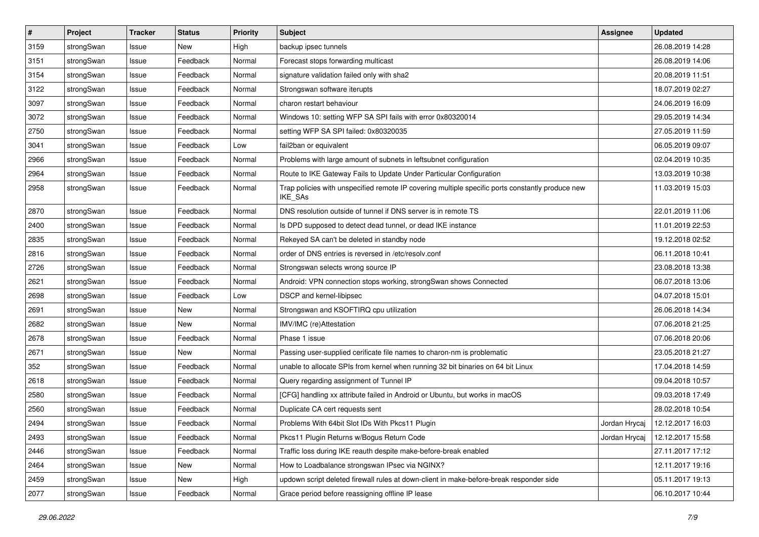| $\vert$ # | Project    | <b>Tracker</b> | <b>Status</b> | <b>Priority</b> | <b>Subject</b>                                                                                              | <b>Assignee</b> | <b>Updated</b>   |
|-----------|------------|----------------|---------------|-----------------|-------------------------------------------------------------------------------------------------------------|-----------------|------------------|
| 3159      | strongSwan | Issue          | New           | High            | backup ipsec tunnels                                                                                        |                 | 26.08.2019 14:28 |
| 3151      | strongSwan | Issue          | Feedback      | Normal          | Forecast stops forwarding multicast                                                                         |                 | 26.08.2019 14:06 |
| 3154      | strongSwan | Issue          | Feedback      | Normal          | signature validation failed only with sha2                                                                  |                 | 20.08.2019 11:51 |
| 3122      | strongSwan | Issue          | Feedback      | Normal          | Strongswan software iterupts                                                                                |                 | 18.07.2019 02:27 |
| 3097      | strongSwan | Issue          | Feedback      | Normal          | charon restart behaviour                                                                                    |                 | 24.06.2019 16:09 |
| 3072      | strongSwan | Issue          | Feedback      | Normal          | Windows 10: setting WFP SA SPI fails with error 0x80320014                                                  |                 | 29.05.2019 14:34 |
| 2750      | strongSwan | Issue          | Feedback      | Normal          | setting WFP SA SPI failed: 0x80320035                                                                       |                 | 27.05.2019 11:59 |
| 3041      | strongSwan | Issue          | Feedback      | Low             | fail2ban or equivalent                                                                                      |                 | 06.05.2019 09:07 |
| 2966      | strongSwan | Issue          | Feedback      | Normal          | Problems with large amount of subnets in leftsubnet configuration                                           |                 | 02.04.2019 10:35 |
| 2964      | strongSwan | Issue          | Feedback      | Normal          | Route to IKE Gateway Fails to Update Under Particular Configuration                                         |                 | 13.03.2019 10:38 |
| 2958      | strongSwan | Issue          | Feedback      | Normal          | Trap policies with unspecified remote IP covering multiple specific ports constantly produce new<br>IKE_SAs |                 | 11.03.2019 15:03 |
| 2870      | strongSwan | Issue          | Feedback      | Normal          | DNS resolution outside of tunnel if DNS server is in remote TS                                              |                 | 22.01.2019 11:06 |
| 2400      | strongSwan | Issue          | Feedback      | Normal          | Is DPD supposed to detect dead tunnel, or dead IKE instance                                                 |                 | 11.01.2019 22:53 |
| 2835      | strongSwan | Issue          | Feedback      | Normal          | Rekeyed SA can't be deleted in standby node                                                                 |                 | 19.12.2018 02:52 |
| 2816      | strongSwan | Issue          | Feedback      | Normal          | order of DNS entries is reversed in /etc/resolv.conf                                                        |                 | 06.11.2018 10:41 |
| 2726      | strongSwan | Issue          | Feedback      | Normal          | Strongswan selects wrong source IP                                                                          |                 | 23.08.2018 13:38 |
| 2621      | strongSwan | Issue          | Feedback      | Normal          | Android: VPN connection stops working, strongSwan shows Connected                                           |                 | 06.07.2018 13:06 |
| 2698      | strongSwan | Issue          | Feedback      | Low             | DSCP and kernel-libipsec                                                                                    |                 | 04.07.2018 15:01 |
| 2691      | strongSwan | Issue          | New           | Normal          | Strongswan and KSOFTIRQ cpu utilization                                                                     |                 | 26.06.2018 14:34 |
| 2682      | strongSwan | Issue          | New           | Normal          | IMV/IMC (re)Attestation                                                                                     |                 | 07.06.2018 21:25 |
| 2678      | strongSwan | Issue          | Feedback      | Normal          | Phase 1 issue                                                                                               |                 | 07.06.2018 20:06 |
| 2671      | strongSwan | Issue          | <b>New</b>    | Normal          | Passing user-supplied cerificate file names to charon-nm is problematic                                     |                 | 23.05.2018 21:27 |
| 352       | strongSwan | Issue          | Feedback      | Normal          | unable to allocate SPIs from kernel when running 32 bit binaries on 64 bit Linux                            |                 | 17.04.2018 14:59 |
| 2618      | strongSwan | Issue          | Feedback      | Normal          | Query regarding assignment of Tunnel IP                                                                     |                 | 09.04.2018 10:57 |
| 2580      | strongSwan | Issue          | Feedback      | Normal          | [CFG] handling xx attribute failed in Android or Ubuntu, but works in macOS                                 |                 | 09.03.2018 17:49 |
| 2560      | strongSwan | Issue          | Feedback      | Normal          | Duplicate CA cert requests sent                                                                             |                 | 28.02.2018 10:54 |
| 2494      | strongSwan | Issue          | Feedback      | Normal          | Problems With 64bit Slot IDs With Pkcs11 Plugin                                                             | Jordan Hrycaj   | 12.12.2017 16:03 |
| 2493      | strongSwan | Issue          | Feedback      | Normal          | Pkcs11 Plugin Returns w/Bogus Return Code                                                                   | Jordan Hrycaj   | 12.12.2017 15:58 |
| 2446      | strongSwan | Issue          | Feedback      | Normal          | Traffic loss during IKE reauth despite make-before-break enabled                                            |                 | 27.11.2017 17:12 |
| 2464      | strongSwan | Issue          | New           | Normal          | How to Loadbalance strongswan IPsec via NGINX?                                                              |                 | 12.11.2017 19:16 |
| 2459      | strongSwan | Issue          | New           | High            | updown script deleted firewall rules at down-client in make-before-break responder side                     |                 | 05.11.2017 19:13 |
| 2077      | strongSwan | Issue          | Feedback      | Normal          | Grace period before reassigning offline IP lease                                                            |                 | 06.10.2017 10:44 |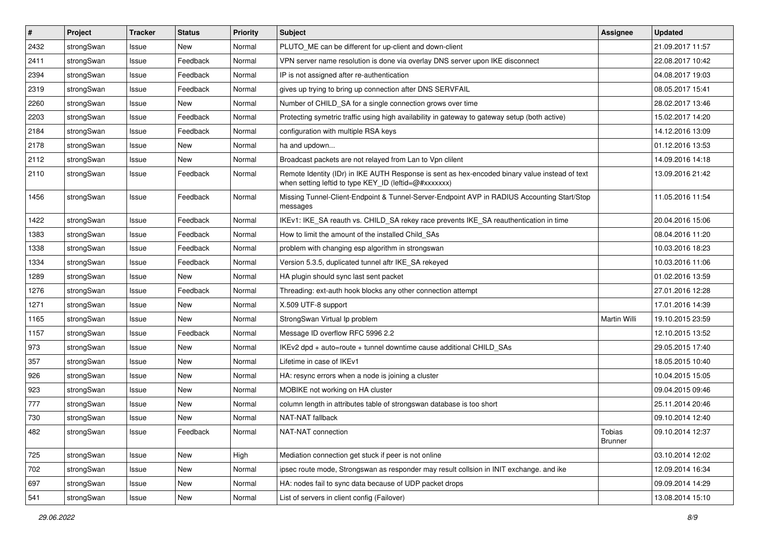| $\vert$ # | Project    | <b>Tracker</b> | <b>Status</b> | Priority | <b>Subject</b>                                                                                                                                          | <b>Assignee</b>          | <b>Updated</b>   |
|-----------|------------|----------------|---------------|----------|---------------------------------------------------------------------------------------------------------------------------------------------------------|--------------------------|------------------|
| 2432      | strongSwan | Issue          | New           | Normal   | PLUTO ME can be different for up-client and down-client                                                                                                 |                          | 21.09.2017 11:57 |
| 2411      | strongSwan | Issue          | Feedback      | Normal   | VPN server name resolution is done via overlay DNS server upon IKE disconnect                                                                           |                          | 22.08.2017 10:42 |
| 2394      | strongSwan | Issue          | Feedback      | Normal   | IP is not assigned after re-authentication                                                                                                              |                          | 04.08.2017 19:03 |
| 2319      | strongSwan | Issue          | Feedback      | Normal   | gives up trying to bring up connection after DNS SERVFAIL                                                                                               |                          | 08.05.2017 15:41 |
| 2260      | strongSwan | Issue          | New           | Normal   | Number of CHILD_SA for a single connection grows over time                                                                                              |                          | 28.02.2017 13:46 |
| 2203      | strongSwan | Issue          | Feedback      | Normal   | Protecting symetric traffic using high availability in gateway to gateway setup (both active)                                                           |                          | 15.02.2017 14:20 |
| 2184      | strongSwan | Issue          | Feedback      | Normal   | configuration with multiple RSA keys                                                                                                                    |                          | 14.12.2016 13:09 |
| 2178      | strongSwan | Issue          | New           | Normal   | ha and updown                                                                                                                                           |                          | 01.12.2016 13:53 |
| 2112      | strongSwan | Issue          | <b>New</b>    | Normal   | Broadcast packets are not relayed from Lan to Vpn clilent                                                                                               |                          | 14.09.2016 14:18 |
| 2110      | strongSwan | Issue          | Feedback      | Normal   | Remote Identity (IDr) in IKE AUTH Response is sent as hex-encoded binary value instead of text<br>when setting leftid to type KEY_ID (leftid=@#xxxxxxx) |                          | 13.09.2016 21:42 |
| 1456      | strongSwan | Issue          | Feedback      | Normal   | Missing Tunnel-Client-Endpoint & Tunnel-Server-Endpoint AVP in RADIUS Accounting Start/Stop<br>messages                                                 |                          | 11.05.2016 11:54 |
| 1422      | strongSwan | Issue          | Feedback      | Normal   | IKEv1: IKE_SA reauth vs. CHILD_SA rekey race prevents IKE_SA reauthentication in time                                                                   |                          | 20.04.2016 15:06 |
| 1383      | strongSwan | Issue          | Feedback      | Normal   | How to limit the amount of the installed Child SAs                                                                                                      |                          | 08.04.2016 11:20 |
| 1338      | strongSwan | Issue          | Feedback      | Normal   | problem with changing esp algorithm in strongswan                                                                                                       |                          | 10.03.2016 18:23 |
| 1334      | strongSwan | Issue          | Feedback      | Normal   | Version 5.3.5, duplicated tunnel aftr IKE_SA rekeyed                                                                                                    |                          | 10.03.2016 11:06 |
| 1289      | strongSwan | Issue          | <b>New</b>    | Normal   | HA plugin should sync last sent packet                                                                                                                  |                          | 01.02.2016 13:59 |
| 1276      | strongSwan | Issue          | Feedback      | Normal   | Threading: ext-auth hook blocks any other connection attempt                                                                                            |                          | 27.01.2016 12:28 |
| 1271      | strongSwan | Issue          | New           | Normal   | X.509 UTF-8 support                                                                                                                                     |                          | 17.01.2016 14:39 |
| 1165      | strongSwan | Issue          | <b>New</b>    | Normal   | StrongSwan Virtual Ip problem                                                                                                                           | Martin Willi             | 19.10.2015 23:59 |
| 1157      | strongSwan | Issue          | Feedback      | Normal   | Message ID overflow RFC 5996 2.2                                                                                                                        |                          | 12.10.2015 13:52 |
| 973       | strongSwan | Issue          | New           | Normal   | IKEv2 dpd + auto=route + tunnel downtime cause additional CHILD_SAs                                                                                     |                          | 29.05.2015 17:40 |
| 357       | strongSwan | Issue          | New           | Normal   | Lifetime in case of IKEv1                                                                                                                               |                          | 18.05.2015 10:40 |
| 926       | strongSwan | Issue          | New           | Normal   | HA: resync errors when a node is joining a cluster                                                                                                      |                          | 10.04.2015 15:05 |
| 923       | strongSwan | Issue          | New           | Normal   | MOBIKE not working on HA cluster                                                                                                                        |                          | 09.04.2015 09:46 |
| 777       | strongSwan | Issue          | New           | Normal   | column length in attributes table of strongswan database is too short                                                                                   |                          | 25.11.2014 20:46 |
| 730       | strongSwan | Issue          | New           | Normal   | NAT-NAT fallback                                                                                                                                        |                          | 09.10.2014 12:40 |
| 482       | strongSwan | Issue          | Feedback      | Normal   | NAT-NAT connection                                                                                                                                      | Tobias<br><b>Brunner</b> | 09.10.2014 12:37 |
| 725       | strongSwan | Issue          | New           | High     | Mediation connection get stuck if peer is not online                                                                                                    |                          | 03.10.2014 12:02 |
| 702       | strongSwan | Issue          | <b>New</b>    | Normal   | ipsec route mode, Strongswan as responder may result collsion in INIT exchange. and ike                                                                 |                          | 12.09.2014 16:34 |
| 697       | strongSwan | Issue          | <b>New</b>    | Normal   | HA: nodes fail to sync data because of UDP packet drops                                                                                                 |                          | 09.09.2014 14:29 |
| 541       | strongSwan | Issue          | New           | Normal   | List of servers in client config (Failover)                                                                                                             |                          | 13.08.2014 15:10 |